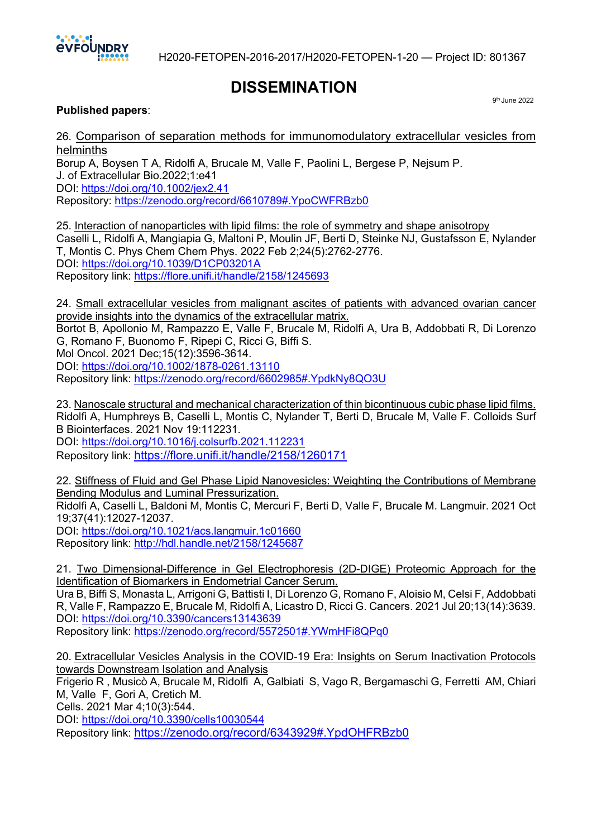

9th June 2022

## **DISSEMINATION**

**Published papers**:

26. Comparison of separation methods for immunomodulatory extracellular vesicles from helminths

Borup A, Boysen T A, Ridolfi A, Brucale M, Valle F, Paolini L, Bergese P, Nejsum P. J. of Extracellular Bio.2022;1:e41 DOI: https://doi.org/10.1002/jex2.41 Repository: https://zenodo.org/record/6610789#.YpoCWFRBzb0

25. Interaction of nanoparticles with lipid films: the role of symmetry and shape anisotropy Caselli L, Ridolfi A, Mangiapia G, Maltoni P, Moulin JF, Berti D, Steinke NJ, Gustafsson E, Nylander T, Montis C. Phys Chem Chem Phys. 2022 Feb 2;24(5):2762-2776. DOI: https://doi.org/10.1039/D1CP03201A Repository link: https://flore.unifi.it/handle/2158/1245693

24. Small extracellular vesicles from malignant ascites of patients with advanced ovarian cancer provide insights into the dynamics of the extracellular matrix. Bortot B, Apollonio M, Rampazzo E, Valle F, Brucale M, Ridolfi A, Ura B, Addobbati R, Di Lorenzo G, Romano F, Buonomo F, Ripepi C, Ricci G, Biffi S. Mol Oncol. 2021 Dec;15(12):3596-3614. DOI: https://doi.org/10.1002/1878-0261.13110 Repository link: https://zenodo.org/record/6602985#.YpdkNy8QO3U

23. Nanoscale structural and mechanical characterization of thin bicontinuous cubic phase lipid films. Ridolfi A, Humphreys B, Caselli L, Montis C, Nylander T, Berti D, Brucale M, Valle F. Colloids Surf B Biointerfaces. 2021 Nov 19:112231.

DOI: https://doi.org/10.1016/j.colsurfb.2021.112231 Repository link: https://flore.unifi.it/handle/2158/1260171

22. Stiffness of Fluid and Gel Phase Lipid Nanovesicles: Weighting the Contributions of Membrane Bending Modulus and Luminal Pressurization.

Ridolfi A, Caselli L, Baldoni M, Montis C, Mercuri F, Berti D, Valle F, Brucale M. Langmuir. 2021 Oct 19;37(41):12027-12037.

DOI: https://doi.org/10.1021/acs.langmuir.1c01660 Repository link: http://hdl.handle.net/2158/1245687

21. Two Dimensional-Difference in Gel Electrophoresis (2D-DIGE) Proteomic Approach for the Identification of Biomarkers in Endometrial Cancer Serum.

Ura B, Biffi S, Monasta L, Arrigoni G, Battisti I, Di Lorenzo G, Romano F, Aloisio M, Celsi F, Addobbati R, Valle F, Rampazzo E, Brucale M, Ridolfi A, Licastro D, Ricci G. Cancers. 2021 Jul 20;13(14):3639. DOI: https://doi.org/10.3390/cancers13143639

Repository link: https://zenodo.org/record/5572501#.YWmHFi8QPq0

20. Extracellular Vesicles Analysis in the COVID-19 Era: Insights on Serum Inactivation Protocols towards Downstream Isolation and Analysis

Frigerio R , Musicò A, Brucale M, Ridolfi A, Galbiati S, Vago R, Bergamaschi G, Ferretti AM, Chiari M, Valle F, Gori A, Cretich M.

Cells. 2021 Mar 4;10(3):544.

DOI: https://doi.org/10.3390/cells10030544

Repository link: https://zenodo.org/record/6343929#.YpdOHFRBzb0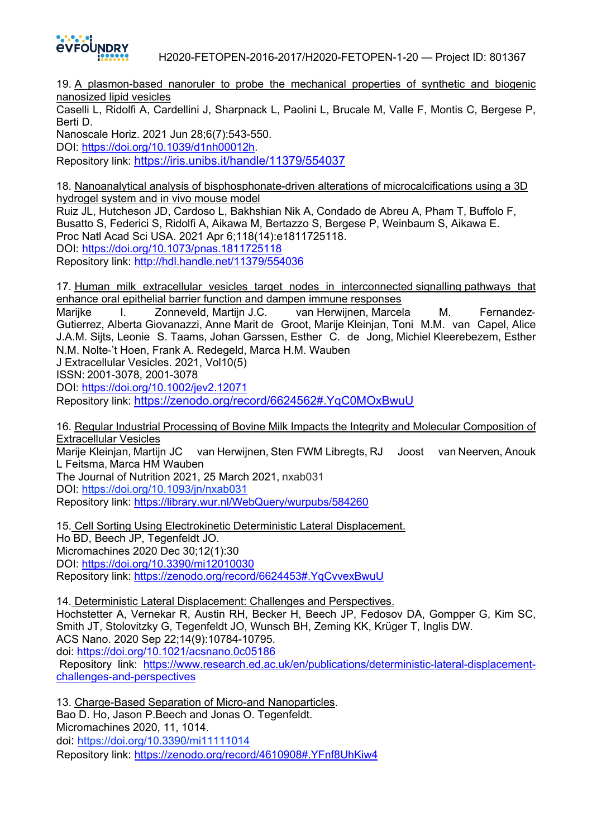

H2020-FETOPEN-2016-2017/H2020-FETOPEN-1-20 — Project ID: 801367

19. A plasmon-based nanoruler to probe the mechanical properties of synthetic and biogenic nanosized lipid vesicles

Caselli L, Ridolfi A, Cardellini J, Sharpnack L, Paolini L, Brucale M, Valle F, Montis C, Bergese P, Berti D.

Nanoscale Horiz. 2021 Jun 28;6(7):543-550. DOI: https://doi.org/10.1039/d1nh00012h. Repository link: https://iris.unibs.it/handle/11379/554037

18. Nanoanalytical analysis of bisphosphonate-driven alterations of microcalcifications using a 3D hydrogel system and in vivo mouse model Ruiz JL, Hutcheson JD, Cardoso L, Bakhshian Nik A, Condado de Abreu A, Pham T, Buffolo F, Busatto S, Federici S, Ridolfi A, Aikawa M, Bertazzo S, Bergese P, Weinbaum S, Aikawa E. Proc Natl Acad Sci USA. 2021 Apr 6;118(14):e1811725118. DOI: https://doi.org/10.1073/pnas.1811725118 Repository link: http://hdl.handle.net/11379/554036

17. Human milk extracellular vesicles target nodes in interconnected signalling pathways that enhance oral epithelial barrier function and dampen immune responses

Marijke I. Zonneveld, Martijn J.C. van Herwijnen, Marcela M. Fernandez-Gutierrez, Alberta Giovanazzi, Anne Marit de Groot, Marije Kleinjan, Toni M.M. van Capel, Alice J.A.M. Sijts, Leonie S. Taams, Johan Garssen, Esther C. de Jong, Michiel Kleerebezem, Esther N.M. Nolte-'t Hoen, Frank A. Redegeld, Marca H.M. Wauben

J Extracellular Vesicles. 2021, Vol10(5)

ISSN: 2001-3078, 2001-3078

DOI: https://doi.org/10.1002/jev2.12071

Repository link: https://zenodo.org/record/6624562#.YqC0MOxBwuU

16. Regular Industrial Processing of Bovine Milk Impacts the Integrity and Molecular Composition of Extracellular Vesicles Marije Kleinjan, Martijn JC van Herwijnen, Sten FWM Libregts, RJ Joost van Neerven, Anouk L Feitsma, Marca HM Wauben The Journal of Nutrition 2021, 25 March 2021, nxab031 DOI: https://doi.org/10.1093/jn/nxab031 Repository link: https://library.wur.nl/WebQuery/wurpubs/584260

15. Cell Sorting Using Electrokinetic Deterministic Lateral Displacement. Ho BD, Beech JP, Tegenfeldt JO. Micromachines 2020 Dec 30;12(1):30 DOI: https://doi.org/10.3390/mi12010030 Repository link: https://zenodo.org/record/6624453#.YqCvvexBwuU

14. Deterministic Lateral Displacement: Challenges and Perspectives.

Hochstetter A, Vernekar R, Austin RH, Becker H, Beech JP, Fedosov DA, Gompper G, Kim SC, Smith JT, Stolovitzky G, Tegenfeldt JO, Wunsch BH, Zeming KK, Krüger T, Inglis DW. ACS Nano. 2020 Sep 22;14(9):10784-10795. doi: https://doi.org/10.1021/acsnano.0c05186

Repository link: https://www.research.ed.ac.uk/en/publications/deterministic-lateral-displacementchallenges-and-perspectives

13. Charge-Based Separation of Micro-and Nanoparticles. Bao D. Ho, Jason P.Beech and Jonas O. Tegenfeldt. Micromachines 2020, 11, 1014. doi: https://doi.org/10.3390/mi11111014 Repository link: https://zenodo.org/record/4610908#.YFnf8UhKiw4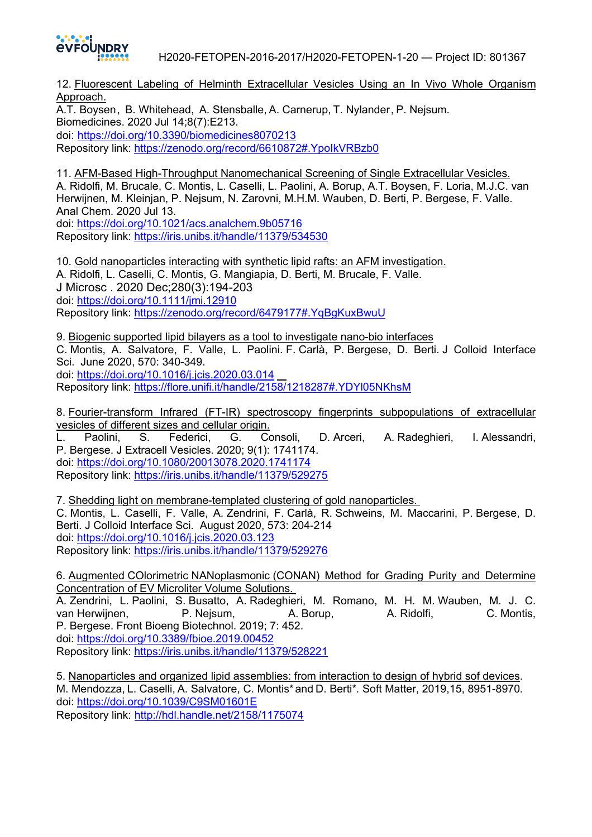

**EVFOUNDRY**<br>H2020-FETOPEN-2016-2017/H2020-FETOPEN-1-20 — Project ID: 801367

12. Fluorescent Labeling of Helminth Extracellular Vesicles Using an In Vivo Whole Organism Approach.

A.T. Boysen,  B. Whitehead,  A. Stensballe, A. Carnerup, T. Nylander, P. Nejsum. Biomedicines. 2020 Jul 14;8(7):E213. doi: https://doi.org/10.3390/biomedicines8070213 Repository link: https://zenodo.org/record/6610872#.YpoIkVRBzb0

11. AFM-Based High-Throughput Nanomechanical Screening of Single Extracellular Vesicles. A. Ridolfi, M. Brucale, C. Montis, L. Caselli, L. Paolini, A. Borup, A.T. Boysen, F. Loria, M.J.C. van Herwijnen, M. Kleinjan, P. Nejsum, N. Zarovni, M.H.M. Wauben, D. Berti, P. Bergese, F. Valle. Anal Chem. 2020 Jul 13.

doi: https://doi.org/10.1021/acs.analchem.9b05716 Repository link: https://iris.unibs.it/handle/11379/534530

10. Gold nanoparticles interacting with synthetic lipid rafts: an AFM investigation. A. Ridolfi, L. Caselli, C. Montis, G. Mangiapia, D. Berti, M. Brucale, F. Valle. J Microsc . 2020 Dec;280(3):194-203 doi: https://doi.org/10.1111/jmi.12910 Repository link: https://zenodo.org/record/6479177#.YqBgKuxBwuU

9. Biogenic supported lipid bilayers as a tool to investigate nano-bio interfaces C. Montis, A. Salvatore, F. Valle, L. Paolini. F. Carlà, P. Bergese, D. Berti. J Colloid Interface Sci. June 2020, 570: 340-349. doi: https://doi.org/10.1016/j.jcis.2020.03.014 Repository link: https://flore.unifi.it/handle/2158/1218287#.YDYl05NKhsM

8. Fourier-transform Infrared (FT-IR) spectroscopy fingerprints subpopulations of extracellular vesicles of different sizes and cellular origin.

L. Paolini, S. Federici, G. Consoli, D. Arceri, A. Radeghieri, I. Alessandri, P. Bergese. J Extracell Vesicles. 2020; 9(1): 1741174. doi: https://doi.org/10.1080/20013078.2020.1741174 Repository link: https://iris.unibs.it/handle/11379/529275

7. Shedding light on membrane-templated clustering of gold nanoparticles. C. Montis, L. Caselli, F. Valle, A. Zendrini, F. Carlà, R. Schweins, M. Maccarini, P. Bergese, D. Berti. J Colloid Interface Sci. August 2020, 573: 204-214 doi: https://doi.org/10.1016/j.jcis.2020.03.123 Repository link: https://iris.unibs.it/handle/11379/529276

6. Augmented COlorimetric NANoplasmonic (CONAN) Method for Grading Purity and Determine Concentration of EV Microliter Volume Solutions. A. Zendrini, L. Paolini, S. Busatto, A. Radeghieri, M. Romano, M. H. M. Wauben, M. J. C.

van Herwijnen, P. Nejsum, A. Borup, A. Ridolfi, C. Montis, P. Bergese. Front Bioeng Biotechnol. 2019; 7: 452. doi: https://doi.org/10.3389/fbioe.2019.00452

Repository link: https://iris.unibs.it/handle/11379/528221

5. Nanoparticles and organized lipid assemblies: from interaction to design of hybrid sof devices. M. Mendozza, L. Caselli, A. Salvatore, C. Montis\*and D. Berti\**.* Soft Matter, 2019,15, 8951-8970*.* doi: https://doi.org/10.1039/C9SM01601E

Repository link: http://hdl.handle.net/2158/1175074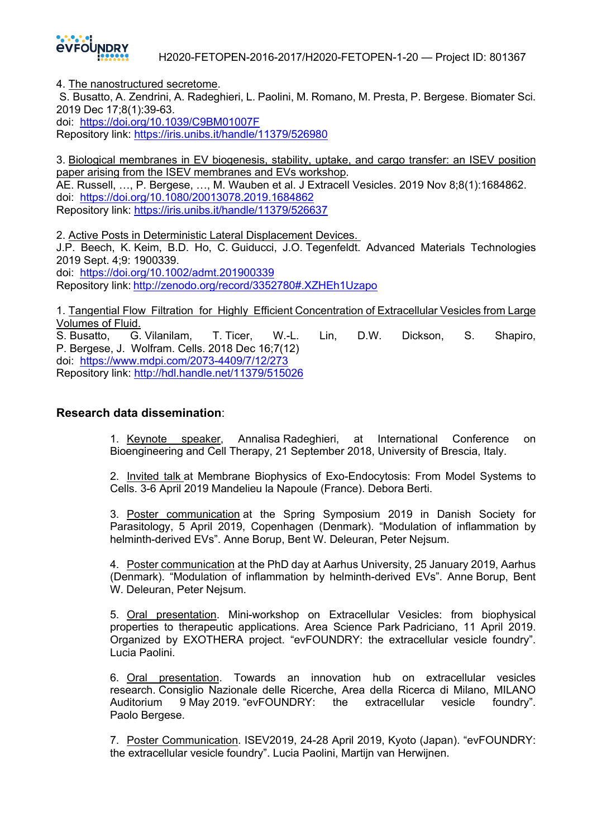

4. The nanostructured secretome.

S. Busatto, A. Zendrini, A. Radeghieri, L. Paolini, M. Romano, M. Presta, P. Bergese. Biomater Sci. 2019 Dec 17;8(1):39-63.

doi: https://doi.org/10.1039/C9BM01007F Repository link: https://iris.unibs.it/handle/11379/526980

3. Biological membranes in EV biogenesis, stability, uptake, and cargo transfer: an ISEV position paper arising from the ISEV membranes and EVs workshop. AE. Russell, …, P. Bergese, …, M. Wauben et al. J Extracell Vesicles. 2019 Nov 8;8(1):1684862. doi: https://doi.org/10.1080/20013078.2019.1684862

Repository link: https://iris.unibs.it/handle/11379/526637

2. Active Posts in Deterministic Lateral Displacement Devices. J.P. Beech, K. Keim, B.D. Ho, C. Guiducci, J.O. Tegenfeldt. Advanced Materials Technologies 2019 Sept. 4;9: 1900339. doi: https://doi.org/10.1002/admt.201900339 Repository link: http://zenodo.org/record/3352780#.XZHEh1Uzapo

1. Tangential Flow Filtration for Highly Efficient Concentration of Extracellular Vesicles from Large Volumes of Fluid. S. Busatto, G. Vilanilam, T. Ticer, W.-L. Lin, D.W. Dickson, S. Shapiro,

P. Bergese, J. Wolfram. Cells. 2018 Dec 16;7(12) doi: https://www.mdpi.com/2073-4409/7/12/273 Repository link: http://hdl.handle.net/11379/515026

## **Research data dissemination**:

1. Keynote speaker, Annalisa Radeghieri, at International Conference on Bioengineering and Cell Therapy, 21 September 2018, University of Brescia, Italy.

2. Invited talk at Membrane Biophysics of Exo-Endocytosis: From Model Systems to Cells. 3-6 April 2019 Mandelieu la Napoule (France). Debora Berti.

3. Poster communication at the Spring Symposium 2019 in Danish Society for Parasitology, 5 April 2019, Copenhagen (Denmark). "Modulation of inflammation by helminth-derived EVs". Anne Borup, Bent W. Deleuran, Peter Nejsum.

4. Poster communication at the PhD day at Aarhus University, 25 January 2019, Aarhus (Denmark). "Modulation of inflammation by helminth-derived EVs". Anne Borup, Bent W. Deleuran, Peter Nejsum.

5. Oral presentation. Mini-workshop on Extracellular Vesicles: from biophysical properties to therapeutic applications. Area Science Park Padriciano, 11 April 2019. Organized by EXOTHERA project. "evFOUNDRY: the extracellular vesicle foundry". Lucia Paolini.

6. Oral presentation. Towards an innovation hub on extracellular vesicles research. Consiglio Nazionale delle Ricerche, Area della Ricerca di Milano, MILANO Auditorium 9 May 2019. "evFOUNDRY: the extracellular vesicle foundry". Paolo Bergese.

7. Poster Communication. ISEV2019, 24-28 April 2019, Kyoto (Japan). "evFOUNDRY: the extracellular vesicle foundry". Lucia Paolini, Martijn van Herwijnen.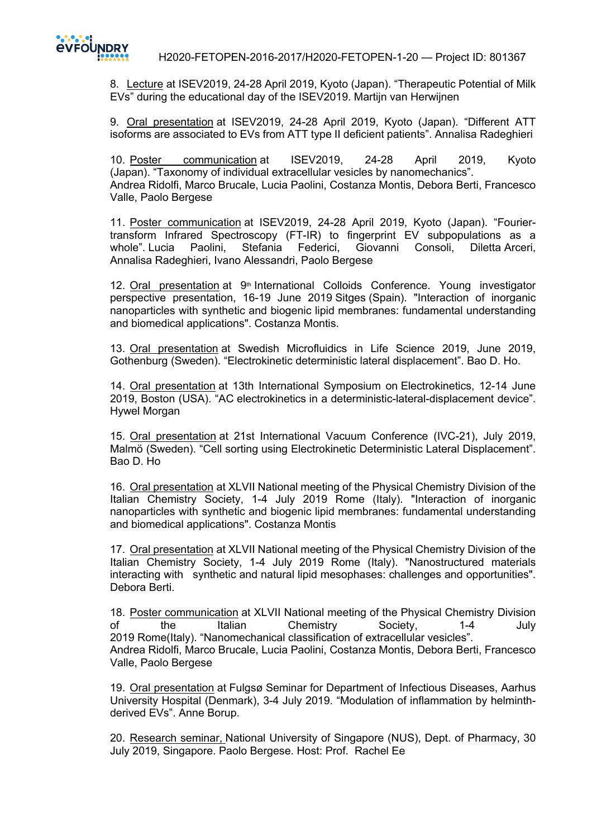

H2020-FETOPEN-2016-2017/H2020-FETOPEN-1-20 — Project ID: 801367

8. Lecture at ISEV2019, 24-28 April 2019, Kyoto (Japan). "Therapeutic Potential of Milk EVs" during the educational day of the ISEV2019. Martijn van Herwijnen

9. Oral presentation at ISEV2019, 24-28 April 2019, Kyoto (Japan). "Different ATT isoforms are associated to EVs from ATT type II deficient patients". Annalisa Radeghieri

10. Poster communication at ISEV2019, 24-28 April 2019, Kyoto (Japan). "Taxonomy of individual extracellular vesicles by nanomechanics". Andrea Ridolfi, Marco Brucale, Lucia Paolini, Costanza Montis, Debora Berti, Francesco Valle, Paolo Bergese

11. Poster communication at ISEV2019, 24-28 April 2019, Kyoto (Japan). "Fouriertransform Infrared Spectroscopy (FT-IR) to fingerprint EV subpopulations as a whole". Lucia Paolini, Stefania Federici, Giovanni Consoli, Diletta Arceri, Annalisa Radeghieri, Ivano Alessandri, Paolo Bergese

12. Oral presentation at 9<sup>th</sup> International Colloids Conference. Young investigator perspective presentation, 16-19 June 2019 Sitges (Spain). "Interaction of inorganic nanoparticles with synthetic and biogenic lipid membranes: fundamental understanding and biomedical applications". Costanza Montis.

13. Oral presentation at Swedish Microfluidics in Life Science 2019, June 2019, Gothenburg (Sweden). "Electrokinetic deterministic lateral displacement". Bao D. Ho.

14. Oral presentation at 13th International Symposium on Electrokinetics, 12-14 June 2019, Boston (USA). "AC electrokinetics in a deterministic-lateral-displacement device". Hywel Morgan

15. Oral presentation at 21st International Vacuum Conference (IVC-21), July 2019, Malmö (Sweden). "Cell sorting using Electrokinetic Deterministic Lateral Displacement". Bao D. Ho

16. Oral presentation at XLVII National meeting of the Physical Chemistry Division of the Italian Chemistry Society, 1-4 July 2019 Rome (Italy). "Interaction of inorganic nanoparticles with synthetic and biogenic lipid membranes: fundamental understanding and biomedical applications". Costanza Montis

17. Oral presentation at XLVII National meeting of the Physical Chemistry Division of the Italian Chemistry Society, 1-4 July 2019 Rome (Italy). "Nanostructured materials interacting with synthetic and natural lipid mesophases: challenges and opportunities". Debora Berti.

18. Poster communication at XLVII National meeting of the Physical Chemistry Division of the Italian Chemistry Society, 1-4 July 2019 Rome(Italy). "Nanomechanical classification of extracellular vesicles". Andrea Ridolfi, Marco Brucale, Lucia Paolini, Costanza Montis, Debora Berti, Francesco Valle, Paolo Bergese

19. Oral presentation at Fulgsø Seminar for Department of Infectious Diseases, Aarhus University Hospital (Denmark), 3-4 July 2019. "Modulation of inflammation by helminthderived EVs". Anne Borup.

20. Research seminar, National University of Singapore (NUS), Dept. of Pharmacy, 30 July 2019, Singapore. Paolo Bergese. Host: Prof. Rachel Ee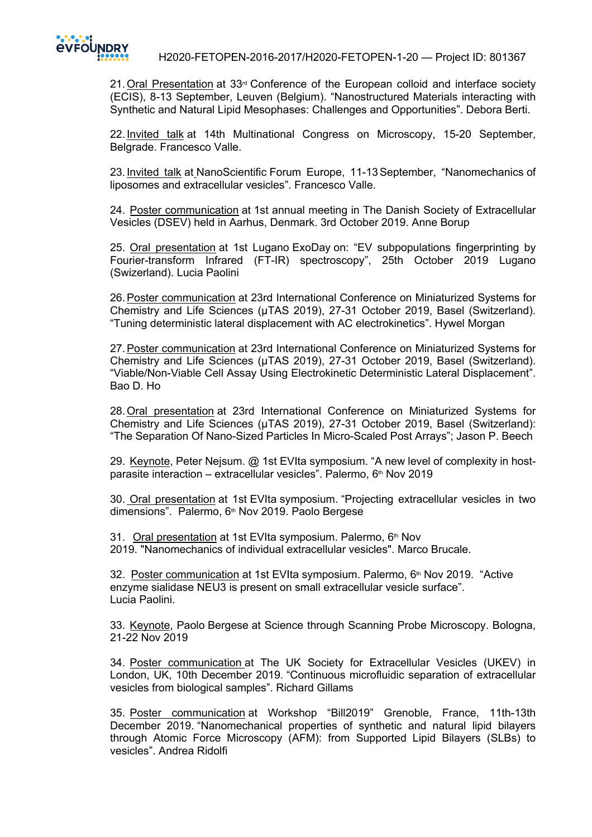

21. Oral Presentation at 33<sup>rd</sup> Conference of the European colloid and interface society (ECIS), 8-13 September, Leuven (Belgium). "Nanostructured Materials interacting with Synthetic and Natural Lipid Mesophases: Challenges and Opportunities". Debora Berti.

22. Invited talk at 14th Multinational Congress on Microscopy, 15-20 September, Belgrade. Francesco Valle.

23.Invited talk at NanoScientific Forum Europe, 11-13September, "Nanomechanics of liposomes and extracellular vesicles". Francesco Valle.

24. Poster communication at 1st annual meeting in The Danish Society of Extracellular Vesicles (DSEV) held in Aarhus, Denmark. 3rd October 2019. Anne Borup

25. Oral presentation at 1st Lugano ExoDay on: "EV subpopulations fingerprinting by Fourier-transform Infrared (FT-IR) spectroscopy", 25th October 2019 Lugano (Swizerland). Lucia Paolini

26.Poster communication at 23rd International Conference on Miniaturized Systems for Chemistry and Life Sciences (µTAS 2019), 27-31 October 2019, Basel (Switzerland). "Tuning deterministic lateral displacement with AC electrokinetics". Hywel Morgan

27.Poster communication at 23rd International Conference on Miniaturized Systems for Chemistry and Life Sciences (µTAS 2019), 27-31 October 2019, Basel (Switzerland). "Viable/Non-Viable Cell Assay Using Electrokinetic Deterministic Lateral Displacement". Bao D. Ho

28.Oral presentation at 23rd International Conference on Miniaturized Systems for Chemistry and Life Sciences (µTAS 2019), 27-31 October 2019, Basel (Switzerland): "The Separation Of Nano-Sized Particles In Micro-Scaled Post Arrays"; Jason P. Beech

29. Keynote, Peter Nejsum. @ 1st EVIta symposium. "A new level of complexity in hostparasite interaction – extracellular vesicles". Palermo,  $6<sup>th</sup>$  Nov 2019

30. Oral presentation at 1st EVIta symposium. "Projecting extracellular vesicles in two dimensions". Palermo, 6<sup>th</sup> Nov 2019. Paolo Bergese

31. Oral presentation at 1st EVIta symposium. Palermo, 6<sup>th</sup> Nov 2019. "Nanomechanics of individual extracellular vesicles". Marco Brucale.

32. Poster communication at 1st EVIta symposium. Palermo,  $6<sup>th</sup>$  Nov 2019. "Active enzyme sialidase NEU3 is present on small extracellular vesicle surface". Lucia Paolini.

33. Keynote, Paolo Bergese at Science through Scanning Probe Microscopy. Bologna, 21-22 Nov 2019

34. Poster communication at The UK Society for Extracellular Vesicles (UKEV) in London, UK, 10th December 2019. "Continuous microfluidic separation of extracellular vesicles from biological samples". Richard Gillams

35. Poster communication at Workshop "Bill2019" Grenoble, France, 11th-13th December 2019. "Nanomechanical properties of synthetic and natural lipid bilayers through Atomic Force Microscopy (AFM): from Supported Lipid Bilayers (SLBs) to vesicles". Andrea Ridolfi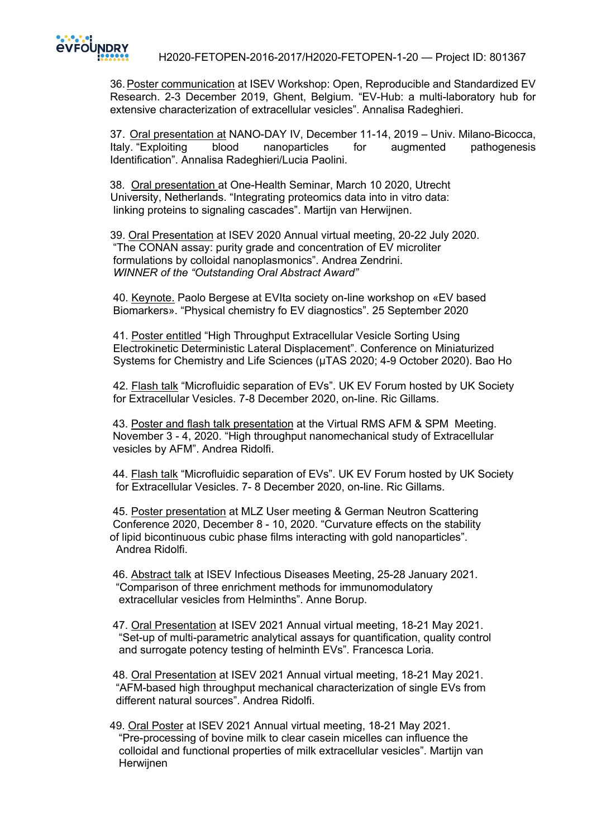

H2020-FETOPEN-2016-2017/H2020-FETOPEN-1-20 — Project ID: 801367

36.Poster communication at ISEV Workshop: Open, Reproducible and Standardized EV Research. 2-3 December 2019, Ghent, Belgium. "EV-Hub: a multi-laboratory hub for extensive characterization of extracellular vesicles". Annalisa Radeghieri.

37. Oral presentation at NANO-DAY IV, December 11-14, 2019 – Univ. Milano-Bicocca, Italy. "Exploiting blood nanoparticles for augmented pathogenesis Identification". Annalisa Radeghieri/Lucia Paolini.

 38. Oral presentation at One-Health Seminar, March 10 2020, Utrecht University, Netherlands. "Integrating proteomics data into in vitro data: linking proteins to signaling cascades". Martijn van Herwijnen.

 39. Oral Presentation at ISEV 2020 Annual virtual meeting, 20-22 July 2020. "The CONAN assay: purity grade and concentration of EV microliter formulations by colloidal nanoplasmonics". Andrea Zendrini. *WINNER of the "Outstanding Oral Abstract Award"*

 40. Keynote. Paolo Bergese at EVIta society on-line workshop on «EV based Biomarkers». "Physical chemistry fo EV diagnostics". 25 September 2020

 41. Poster entitled "High Throughput Extracellular Vesicle Sorting Using Electrokinetic Deterministic Lateral Displacement". Conference on Miniaturized Systems for Chemistry and Life Sciences (µTAS 2020; 4-9 October 2020). Bao Ho

 42. Flash talk "Microfluidic separation of EVs". UK EV Forum hosted by UK Society for Extracellular Vesicles. 7-8 December 2020, on-line. Ric Gillams.

 43. Poster and flash talk presentation at the Virtual RMS AFM & SPM Meeting. November 3 - 4, 2020. "High throughput nanomechanical study of Extracellular vesicles by AFM". Andrea Ridolfi.

 44. Flash talk "Microfluidic separation of EVs". UK EV Forum hosted by UK Society for Extracellular Vesicles. 7- 8 December 2020, on-line. Ric Gillams.

 45. Poster presentation at MLZ User meeting & German Neutron Scattering Conference 2020, December 8 - 10, 2020. "Curvature effects on the stability of lipid bicontinuous cubic phase films interacting with gold nanoparticles". Andrea Ridolfi.

 46. Abstract talk at ISEV Infectious Diseases Meeting, 25-28 January 2021. "Comparison of three enrichment methods for immunomodulatory extracellular vesicles from Helminths". Anne Borup.

 47. Oral Presentation at ISEV 2021 Annual virtual meeting, 18-21 May 2021. "Set-up of multi-parametric analytical assays for quantification, quality control and surrogate potency testing of helminth EVs". Francesca Loria.

 48. Oral Presentation at ISEV 2021 Annual virtual meeting, 18-21 May 2021. "AFM-based high throughput mechanical characterization of single EVs from different natural sources". Andrea Ridolfi.

 49. Oral Poster at ISEV 2021 Annual virtual meeting, 18-21 May 2021. "Pre-processing of bovine milk to clear casein micelles can influence the colloidal and functional properties of milk extracellular vesicles". Martijn van Herwijnen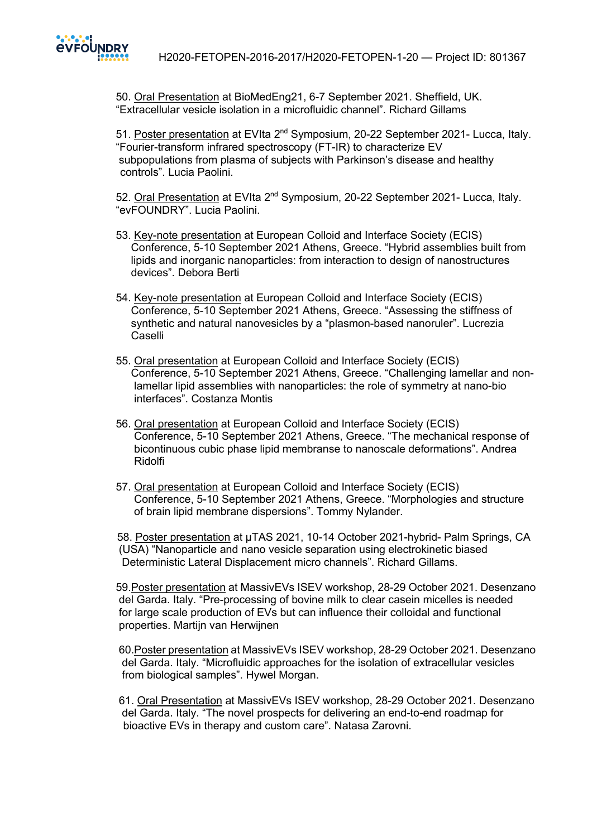

 50. Oral Presentation at BioMedEng21, 6-7 September 2021. Sheffield, UK. "Extracellular vesicle isolation in a microfluidic channel". Richard Gillams

51. Poster presentation at EVIta 2<sup>nd</sup> Symposium, 20-22 September 2021- Lucca, Italv. "Fourier-transform infrared spectroscopy (FT-IR) to characterize EV subpopulations from plasma of subjects with Parkinson's disease and healthy controls". Lucia Paolini.

52. Oral Presentation at EVIta 2<sup>nd</sup> Symposium, 20-22 September 2021- Lucca, Italy. "evFOUNDRY". Lucia Paolini.

- 53. Key-note presentation at European Colloid and Interface Society (ECIS) Conference, 5-10 September 2021 Athens, Greece. "Hybrid assemblies built from lipids and inorganic nanoparticles: from interaction to design of nanostructures devices". Debora Berti
- 54. Key-note presentation at European Colloid and Interface Society (ECIS) Conference, 5-10 September 2021 Athens, Greece. "Assessing the stiffness of synthetic and natural nanovesicles by a "plasmon-based nanoruler". Lucrezia Caselli
- 55. Oral presentation at European Colloid and Interface Society (ECIS) Conference, 5-10 September 2021 Athens, Greece. "Challenging lamellar and non lamellar lipid assemblies with nanoparticles: the role of symmetry at nano-bio interfaces". Costanza Montis
- 56. Oral presentation at European Colloid and Interface Society (ECIS) Conference, 5-10 September 2021 Athens, Greece. "The mechanical response of bicontinuous cubic phase lipid membranse to nanoscale deformations". Andrea Ridolfi
- 57. Oral presentation at European Colloid and Interface Society (ECIS) Conference, 5-10 September 2021 Athens, Greece. "Morphologies and structure of brain lipid membrane dispersions". Tommy Nylander.

 58. Poster presentation at µTAS 2021, 10-14 October 2021-hybrid- Palm Springs, CA (USA) "Nanoparticle and nano vesicle separation using electrokinetic biased Deterministic Lateral Displacement micro channels". Richard Gillams.

 59.Poster presentation at MassivEVs ISEV workshop, 28-29 October 2021. Desenzano del Garda. Italy. "Pre-processing of bovine milk to clear casein micelles is needed for large scale production of EVs but can influence their colloidal and functional properties. Martijn van Herwijnen

 60.Poster presentation at MassivEVs ISEV workshop, 28-29 October 2021. Desenzano del Garda. Italy. "Microfluidic approaches for the isolation of extracellular vesicles from biological samples". Hywel Morgan.

 61. Oral Presentation at MassivEVs ISEV workshop, 28-29 October 2021. Desenzano del Garda. Italy. "The novel prospects for delivering an end-to-end roadmap for bioactive EVs in therapy and custom care". Natasa Zarovni.